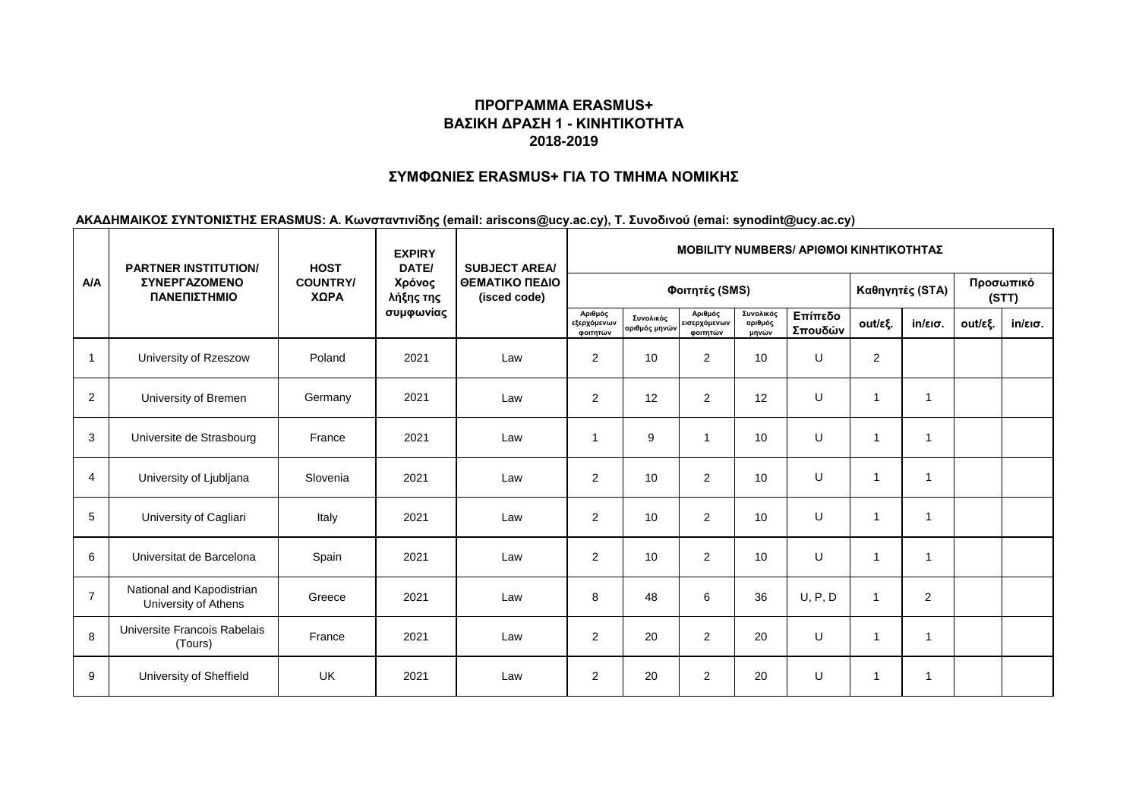#### **ΣΥΜΦΩΝΙΕΣ ERASMUS+ ΓΙΑ ΤΟ ΤΜΗΜΑ ΝΟΜΙΚΗΣ**

|                | <b>PARTNER INSTITUTION/</b>                       | <b>HOST</b>             | <b>EXPIRY</b><br>DATE/           | <b>SUBJECT AREA/</b><br>ΘΕΜΑΤΙΚΟ ΠΕΔΙΟ<br>(isced code) | <b>MOBILITY NUMBERS/ APIOMOI KINHTIKOTHTAZ</b> |                            |                                     |                               |                    |                         |                   |         |                   |  |
|----------------|---------------------------------------------------|-------------------------|----------------------------------|--------------------------------------------------------|------------------------------------------------|----------------------------|-------------------------------------|-------------------------------|--------------------|-------------------------|-------------------|---------|-------------------|--|
| A/A            | <b><i>ΣΥΝΕΡΓΑΖΟΜΕΝΟ</i></b><br>ΠΑΝΕΠΙΣΤΗΜΙΟ       | <b>COUNTRY/</b><br>ΧΩΡΑ | Χρόνος<br>λήξης της<br>συμφωνίας |                                                        |                                                |                            |                                     | Καθηγητές (STA)               | Προσωπικό<br>(STT) |                         |                   |         |                   |  |
|                |                                                   |                         |                                  |                                                        | Αριθμός<br>εξερχόμενων<br>φοιτητών             | Συνολικός<br>αριθμός μηνών | Αριθμός<br>εισερχόμενων<br>φοιτητών | Συνολικός<br>αριθμός<br>μηνών | Επίπεδο<br>Σπουδών | out/εξ.                 | $in/\epsilon$ ισ. | out/εξ. | $in/\epsilon$ ισ. |  |
| $\overline{1}$ | University of Rzeszow                             | Poland                  | 2021                             | Law                                                    | 2                                              | 10                         | $\overline{c}$                      | 10                            | $\cup$             | $\overline{2}$          |                   |         |                   |  |
| 2              | University of Bremen                              | Germany                 | 2021                             | Law                                                    | $\overline{2}$                                 | 12                         | $\overline{2}$                      | 12                            | U                  | $\overline{\mathbf{1}}$ | $\overline{1}$    |         |                   |  |
| 3              | Universite de Strasbourg                          | France                  | 2021                             | Law                                                    | -1                                             | 9                          | 1                                   | 10                            | U                  | $\overline{\mathbf{1}}$ | $\overline{1}$    |         |                   |  |
| $\overline{4}$ | University of Ljubljana                           | Slovenia                | 2021                             | Law                                                    | 2                                              | 10                         | $\overline{2}$                      | 10                            | U                  | $\overline{1}$          | $\overline{1}$    |         |                   |  |
| 5              | University of Cagliari                            | Italy                   | 2021                             | Law                                                    | 2                                              | 10                         | 2                                   | 10                            | U                  | $\mathbf{1}$            | $\overline{1}$    |         |                   |  |
| 6              | Universitat de Barcelona                          | Spain                   | 2021                             | Law                                                    | $\overline{2}$                                 | 10                         | $\overline{2}$                      | 10                            | $\cup$             | $\overline{\mathbf{1}}$ | $\overline{1}$    |         |                   |  |
| $\overline{7}$ | National and Kapodistrian<br>University of Athens | Greece                  | 2021                             | Law                                                    | 8                                              | 48                         | 6                                   | 36                            | U, P, D            | $\overline{1}$          | 2                 |         |                   |  |
| 8              | Universite Francois Rabelais<br>(Tours)           | France                  | 2021                             | Law                                                    | $\overline{2}$                                 | 20                         | $\overline{2}$                      | 20                            | $\cup$             | $\mathbf{1}$            | $\overline{1}$    |         |                   |  |
| 9              | University of Sheffield                           | <b>UK</b>               | 2021                             | Law                                                    | $\mathbf{2}$                                   | 20                         | $\overline{2}$                      | 20                            | U                  | $\mathbf{1}$            | $\mathbf 1$       |         |                   |  |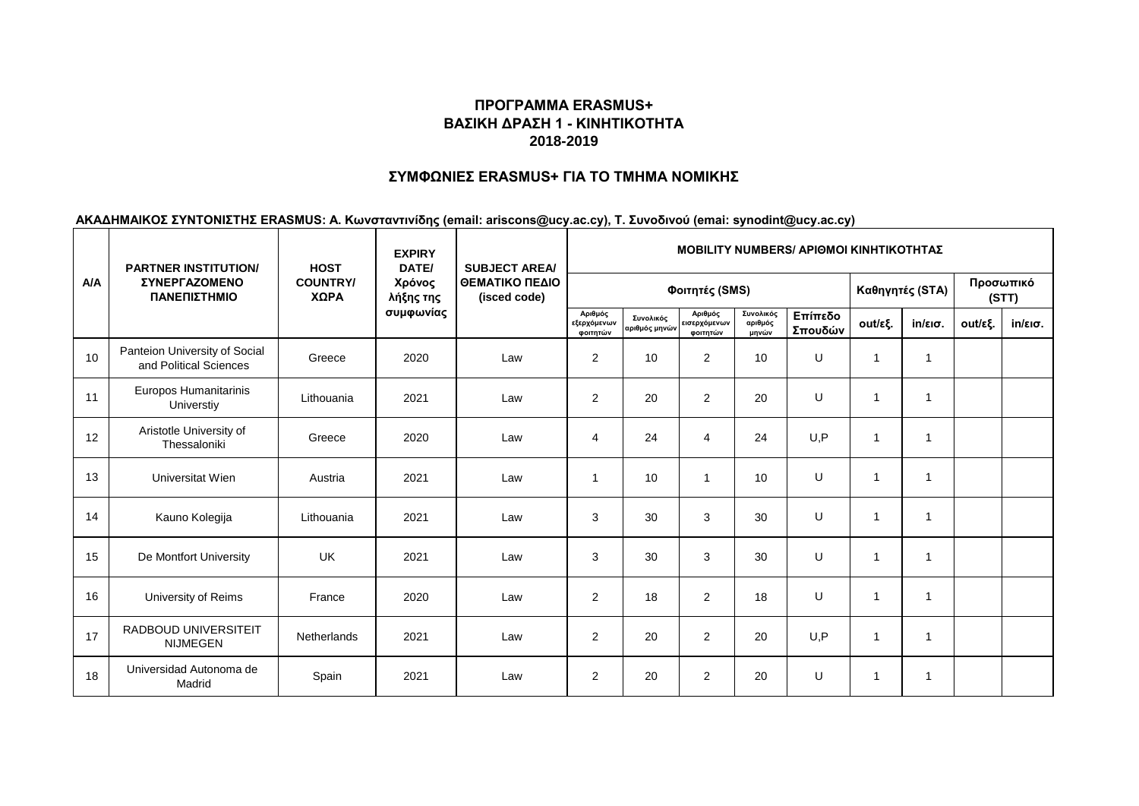### **ΣΥΜΦΩΝΙΕΣ ERASMUS+ ΓΙΑ ΤΟ ΤΜΗΜΑ ΝΟΜΙΚΗΣ**

|            | <b>PARTNER INSTITUTION/</b>                             | <b>HOST</b>             | <b>EXPIRY</b><br>DATE/           | <b>SUBJECT AREA/</b><br>ΘΕΜΑΤΙΚΟ ΠΕΔΙΟ<br>(isced code) | <b>MOBILITY NUMBERS/ APIOMOI KINHTIKOTHTAZ</b> |                            |                                     |                               |                    |              |                   |         |                   |  |
|------------|---------------------------------------------------------|-------------------------|----------------------------------|--------------------------------------------------------|------------------------------------------------|----------------------------|-------------------------------------|-------------------------------|--------------------|--------------|-------------------|---------|-------------------|--|
| <b>A/A</b> | <b><i>ΣΥΝΕΡΓΑΖΟΜΕΝΟ</i></b><br>ΠΑΝΕΠΙΣΤΗΜΙΟ             | <b>COUNTRY/</b><br>ΧΩΡΑ | Χρόνος<br>λήξης της<br>συμφωνίας |                                                        |                                                |                            |                                     | Καθηγητές (STA)               | Προσωπικό<br>(STT) |              |                   |         |                   |  |
|            |                                                         |                         |                                  |                                                        | Αριθμός<br>εξερχόμενων<br>φοιτητών             | Συνολικός<br>αριθμός μηνών | Αριθμός<br>εισερχόμενων<br>φοιτητών | Συνολικός<br>αριθμός<br>μηνών | Επίπεδο<br>Σπουδών | out/εξ.      | $in/\epsilon$ ισ. | out/εξ. | $in/\epsilon$ ισ. |  |
| 10         | Panteion University of Social<br>and Political Sciences | Greece                  | 2020                             | Law                                                    | 2                                              | 10                         | $\overline{2}$                      | 10                            | U                  | $\mathbf{1}$ | $\overline{1}$    |         |                   |  |
| 11         | Europos Humanitarinis<br>Universtiy                     | Lithouania              | 2021                             | Law                                                    | 2                                              | 20                         | $\overline{2}$                      | 20                            | U                  | $\mathbf{1}$ | 1                 |         |                   |  |
| 12         | Aristotle University of<br>Thessaloniki                 | Greece                  | 2020                             | Law                                                    | 4                                              | 24                         | $\overline{4}$                      | 24                            | U.P                | $\mathbf{1}$ | $\overline{1}$    |         |                   |  |
| 13         | Universitat Wien                                        | Austria                 | 2021                             | Law                                                    | 1                                              | 10                         | 1                                   | 10                            | U                  | $\mathbf{1}$ | $\overline{1}$    |         |                   |  |
| 14         | Kauno Kolegija                                          | Lithouania              | 2021                             | Law                                                    | 3                                              | 30                         | $\mathsf 3$                         | 30                            | U                  | $\mathbf{1}$ | $\overline{1}$    |         |                   |  |
| 15         | De Montfort University                                  | <b>UK</b>               | 2021                             | Law                                                    | 3                                              | 30                         | $\mathsf 3$                         | 30                            | U                  | $\mathbf{1}$ | $\overline{1}$    |         |                   |  |
| 16         | University of Reims                                     | France                  | 2020                             | Law                                                    | 2                                              | 18                         | $\overline{2}$                      | 18                            | U                  | $\mathbf{1}$ | 1                 |         |                   |  |
| 17         | <b>RADBOUD UNIVERSITEIT</b><br><b>NIJMEGEN</b>          | <b>Netherlands</b>      | 2021                             | Law                                                    | $\overline{2}$                                 | 20                         | $\overline{c}$                      | 20                            | U, P               | 1            | -1                |         |                   |  |
| 18         | Universidad Autonoma de<br>Madrid                       | Spain                   | 2021                             | Law                                                    | $\overline{2}$                                 | 20                         | $\overline{2}$                      | 20                            | U                  | 1            | 1                 |         |                   |  |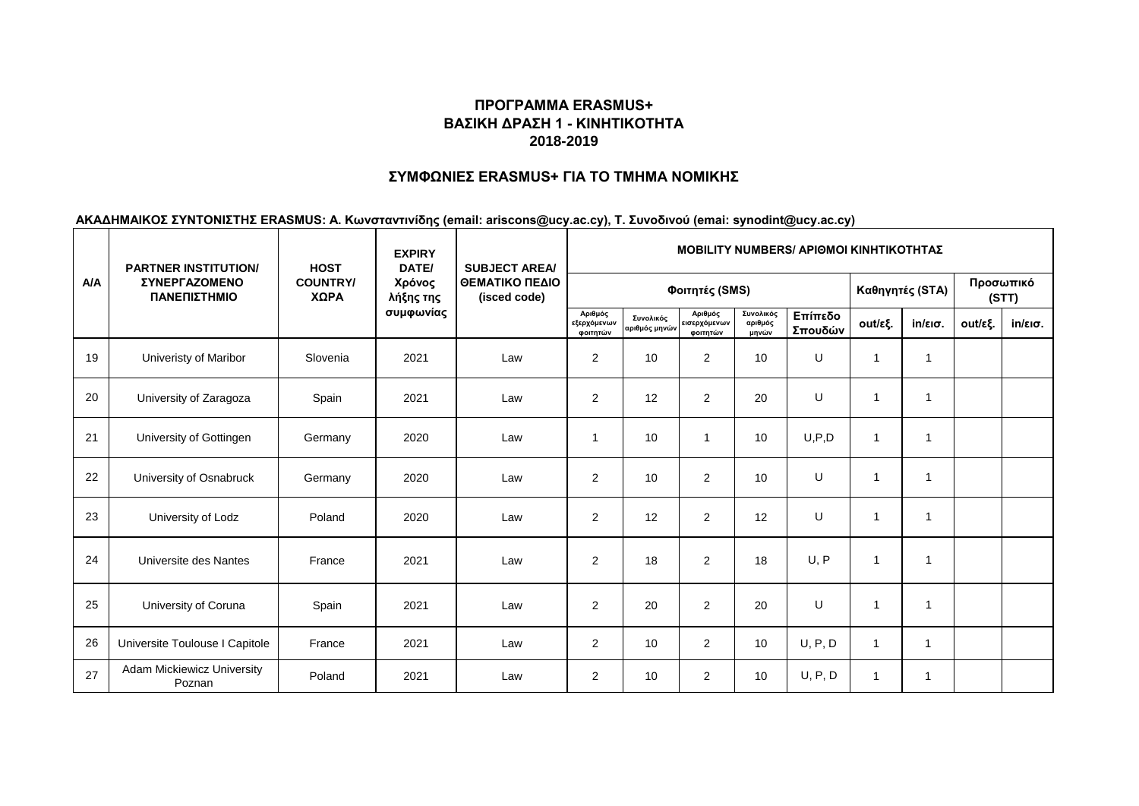### **ΣΥΜΦΩΝΙΕΣ ERASMUS+ ΓΙΑ ΤΟ ΤΜΗΜΑ ΝΟΜΙΚΗΣ**

|     | <b>PARTNER INSTITUTION/</b>                 |                         | <b>EXPIRY</b><br>DATE/<br><b>HOST</b><br><b>SUBJECT AREA/</b> |                                |                                    |                            |                                     |                               |                    | <b>MOBILITY NUMBERS/ APIOMOI KINHTIKOTHTAZ</b> |                   |         |                   |  |  |  |  |  |  |
|-----|---------------------------------------------|-------------------------|---------------------------------------------------------------|--------------------------------|------------------------------------|----------------------------|-------------------------------------|-------------------------------|--------------------|------------------------------------------------|-------------------|---------|-------------------|--|--|--|--|--|--|
| A/A | ΣΥΝΕΡΓΑΖΟΜΕΝΟ<br>ΠΑΝΕΠΙΣΤΗΜΙΟ               | <b>COUNTRY/</b><br>ΧΩΡΑ | Χρόνος<br>λήξης της<br>συμφωνίας                              | ΘΕΜΑΤΙΚΟ ΠΕΔΙΟ<br>(isced code) |                                    |                            | Καθηγητές (STA)                     |                               | Προσωπικό<br>(STT) |                                                |                   |         |                   |  |  |  |  |  |  |
|     |                                             |                         |                                                               |                                | Αριθμός<br>εξερχόμενων<br>φοιτητών | Συνολικός<br>αριθμός μηνών | Αριθμός<br>εισερχόμενων<br>φοιτητών | Συνολικός<br>αριθμός<br>μηνών | Επίπεδο<br>Σπουδών | out/εξ.                                        | $in/\epsilon$ ισ. | out/εξ. | $in/\epsilon$ ισ. |  |  |  |  |  |  |
| 19  | Univeristy of Maribor                       | Slovenia                | 2021                                                          | Law                            | $\overline{2}$                     | 10                         | $\overline{2}$                      | 10                            | U                  | $\overline{1}$                                 | 1                 |         |                   |  |  |  |  |  |  |
| 20  | University of Zaragoza                      | Spain                   | 2021                                                          | Law                            | $\overline{2}$                     | 12                         | $\overline{2}$                      | 20                            | U                  | $\overline{1}$                                 | 1                 |         |                   |  |  |  |  |  |  |
| 21  | University of Gottingen                     | Germany                 | 2020                                                          | Law                            | 1                                  | 10                         | 1                                   | 10                            | U, P, D            | $\overline{1}$                                 | 1                 |         |                   |  |  |  |  |  |  |
| 22  | University of Osnabruck                     | Germany                 | 2020                                                          | Law                            | $\overline{2}$                     | 10                         | $\overline{2}$                      | 10                            | U                  | $\mathbf{1}$                                   | $\overline{1}$    |         |                   |  |  |  |  |  |  |
| 23  | University of Lodz                          | Poland                  | 2020                                                          | Law                            | 2                                  | 12                         | $\overline{2}$                      | 12                            | U                  | 1                                              | 1                 |         |                   |  |  |  |  |  |  |
| 24  | Universite des Nantes                       | France                  | 2021                                                          | Law                            | 2                                  | 18                         | $\overline{2}$                      | 18                            | U, P               | $\mathbf{1}$                                   | 1                 |         |                   |  |  |  |  |  |  |
| 25  | University of Coruna                        | Spain                   | 2021                                                          | Law                            | $\overline{2}$                     | 20                         | $\overline{2}$                      | 20                            | U                  | $\mathbf{1}$                                   | 1                 |         |                   |  |  |  |  |  |  |
| 26  | Universite Toulouse I Capitole              | France                  | 2021                                                          | Law                            | $\overline{2}$                     | 10                         | $\overline{2}$                      | 10                            | U, P, D            | $\overline{1}$                                 | $\overline{1}$    |         |                   |  |  |  |  |  |  |
| 27  | <b>Adam Mickiewicz University</b><br>Poznan | Poland                  | 2021                                                          | Law                            | $\overline{2}$                     | 10                         | $\overline{2}$                      | 10                            | U, P, D            | $\mathbf{1}$                                   | $\overline{1}$    |         |                   |  |  |  |  |  |  |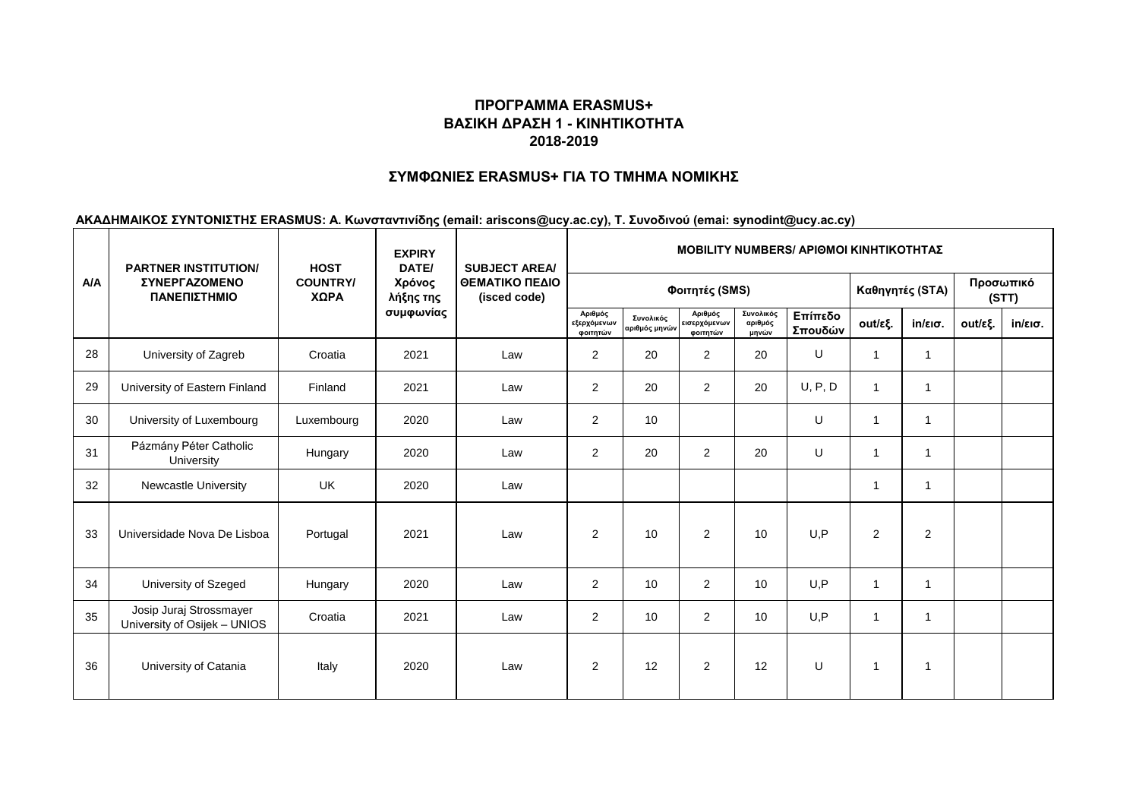### **ΣΥΜΦΩΝΙΕΣ ERASMUS+ ΓΙΑ ΤΟ ΤΜΗΜΑ ΝΟΜΙΚΗΣ**

|            | <b>PARTNER INSTITUTION/</b>                             | <b>HOST</b>             | <b>EXPIRY</b><br>DATE/           | <b>SUBJECT AREA/</b><br>ΘΕΜΑΤΙΚΟ ΠΕΔΙΟ<br>(isced code) | <b>ΜΟΒΙLITY NUMBERS/ ΑΡΙΘΜΟΙ ΚΙΝΗΤΙΚΟΤΗΤΑΣ</b> |                            |                                     |                               |                    |                |                   |         |                   |
|------------|---------------------------------------------------------|-------------------------|----------------------------------|--------------------------------------------------------|------------------------------------------------|----------------------------|-------------------------------------|-------------------------------|--------------------|----------------|-------------------|---------|-------------------|
| <b>A/A</b> | <b><i>ΣΥΝΕΡΓΑΖΟΜΕΝΟ</i></b><br>ΠΑΝΕΠΙΣΤΗΜΙΟ             | <b>COUNTRY/</b><br>ΧΩΡΑ | Χρόνος<br>λήξης της<br>συμφωνίας |                                                        |                                                |                            |                                     | Καθηγητές (STA)               | Προσωπικό<br>(STT) |                |                   |         |                   |
|            |                                                         |                         |                                  |                                                        | Αριθμός<br>εξερχόμενων<br>φοιτητών             | Συνολικός<br>αριθμός μηνών | Αριθμός<br>εισερχόμενων<br>φοιτητών | Συνολικός<br>αριθμός<br>μηνών | Επίπεδο<br>Σπουδών | out/εξ.        | $in/\epsilon$ ισ. | out/εξ. | $in/\epsilon$ ισ. |
| 28         | University of Zagreb                                    | Croatia                 | 2021                             | Law                                                    | 2                                              | 20                         | $\overline{2}$                      | 20                            | U                  | 1              | $\mathbf 1$       |         |                   |
| 29         | University of Eastern Finland                           | Finland                 | 2021                             | Law                                                    | 2                                              | 20                         | $\overline{2}$                      | 20                            | U, P, D            | $\mathbf{1}$   | $\overline{1}$    |         |                   |
| 30         | University of Luxembourg                                | Luxembourg              | 2020                             | Law                                                    | $\overline{2}$                                 | 10 <sup>10</sup>           |                                     |                               | U                  | $\mathbf{1}$   | $\mathbf{1}$      |         |                   |
| 31         | Pázmány Péter Catholic<br>University                    | Hungary                 | 2020                             | Law                                                    | 2                                              | 20                         | 2                                   | 20                            | U                  | $\mathbf{1}$   | $\overline{1}$    |         |                   |
| 32         | Newcastle University                                    | <b>UK</b>               | 2020                             | Law                                                    |                                                |                            |                                     |                               |                    | $\mathbf{1}$   | 1                 |         |                   |
| 33         | Universidade Nova De Lisboa                             | Portugal                | 2021                             | Law                                                    | $\overline{2}$                                 | 10                         | 2                                   | 10                            | U,P                | $\overline{2}$ | $\overline{2}$    |         |                   |
| 34         | University of Szeged                                    | Hungary                 | 2020                             | Law                                                    | 2                                              | 10                         | 2                                   | 10                            | U,P                | $\mathbf{1}$   | $\overline{1}$    |         |                   |
| 35         | Josip Juraj Strossmayer<br>University of Osijek - UNIOS | Croatia                 | 2021                             | Law                                                    | $\overline{2}$                                 | 10 <sup>10</sup>           | 2                                   | 10                            | U, P               | $\mathbf{1}$   | $\overline{1}$    |         |                   |
| 36         | University of Catania                                   | Italy                   | 2020                             | Law                                                    | $\overline{2}$                                 | 12                         | 2                                   | 12                            | U                  | $\mathbf{1}$   | $\overline{1}$    |         |                   |